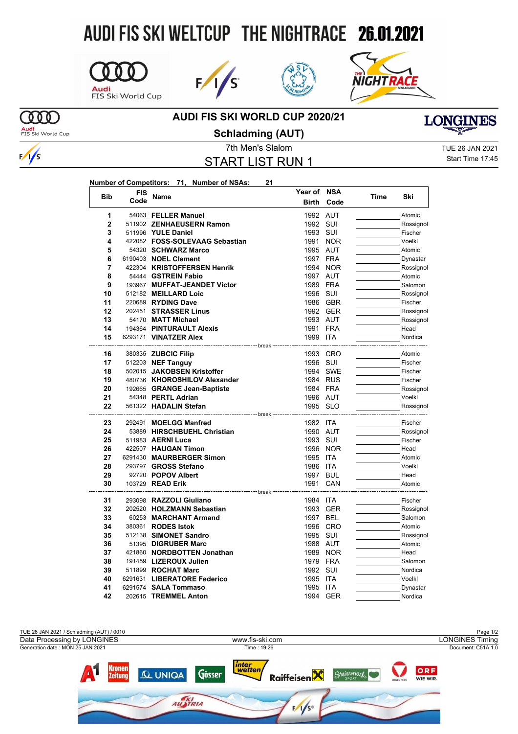## AUDI FIS SKI WELTCUP THE NIGHTRACE 26.01.2021









## **AUDI FIS SKI WORLD CUP 2020/21**

<mark>Audi</mark><br>FIS Ski World Cup

 $\omega$ 

**Schladming (AUT)**

START LIST RUN 1

7th Men's Slalom TUE 26 JAN 2021 Start Time 17:45

**LONGINES** 

| Number of Competitors: 71, Number of NSAs: |  | 21 |
|--------------------------------------------|--|----|
|                                            |  |    |

| <b>Bib</b> | <b>FIS</b> | Name                                                     | Year of NSA  |            | <b>Time</b> | Ski       |
|------------|------------|----------------------------------------------------------|--------------|------------|-------------|-----------|
|            | Code       |                                                          | <b>Birth</b> | Code       |             |           |
| 1          |            | 54063 FELLER Manuel                                      | 1992 AUT     |            |             | Atomic    |
| 2          |            | 511902 ZENHAEUSERN Ramon                                 | 1992         | SUI        |             | Rossignol |
| 3          |            | 511996 YULE Daniel                                       | 1993 SUI     |            |             | Fischer   |
| 4          |            | 422082 FOSS-SOLEVAAG Sebastian                           | 1991         | <b>NOR</b> |             | Voelkl    |
| 5          |            | 54320 SCHWARZ Marco                                      | 1995 AUT     |            |             | Atomic    |
| 6          |            | 6190403 NOEL Clement                                     | 1997 FRA     |            |             | Dynastar  |
| 7          |            | 422304 KRISTOFFERSEN Henrik                              |              | 1994 NOR   |             | Rossignol |
| 8          |            | 54444 GSTREIN Fabio                                      | 1997 AUT     |            |             | Atomic    |
| 9          |            | 193967 MUFFAT-JEANDET Victor                             | 1989         | FRA        |             | Salomon   |
| 10         |            | 512182 MEILLARD Loic                                     | 1996 SUI     |            |             | Rossignol |
| 11         |            | 220689 RYDING Dave                                       | 1986 GBR     |            |             | Fischer   |
| 12         |            | 202451 STRASSER Linus                                    | 1992 GER     |            |             | Rossignol |
| 13         |            | 54170 MATT Michael                                       | 1993 AUT     |            |             | Rossignol |
| 14         |            | 194364 PINTURAULT Alexis                                 | 1991 FRA     |            |             | Head      |
| 15         |            | 6293171 VINATZER Alex                                    | 1999 ITA     |            |             | Nordica   |
| 16         |            | -------------------- break<br>380335 <b>ZUBCIC Filip</b> |              | 1993 CRO   |             | Atomic    |
| 17         |            | 512203 NEF Tanguy                                        | 1996 SUI     |            |             | Fischer   |
| 18         |            | 502015 JAKOBSEN Kristoffer                               |              | 1994 SWE   |             | Fischer   |
| 19         |            | 480736 KHOROSHILOV Alexander                             | 1984 RUS     |            |             | Fischer   |
| 20         |            | 192665 GRANGE Jean-Baptiste                              | 1984 FRA     |            |             | Rossignol |
| 21         |            | 54348 PERTL Adrian                                       | 1996 AUT     |            |             | Voelkl    |
| 22         |            | 561322 HADALIN Stefan                                    | 1995 SLO     |            |             | Rossignol |
|            |            |                                                          |              |            |             |           |
| 23         |            | 292491 MOELGG Manfred                                    | 1982 ITA     |            |             | Fischer   |
| 24         |            | 53889 HIRSCHBUEHL Christian                              | 1990 AUT     |            |             | Rossignol |
| 25         |            | 511983 AERNI Luca                                        | 1993 SUI     |            |             | Fischer   |
| 26         |            | 422507 HAUGAN Timon                                      |              | 1996 NOR   |             | Head      |
| 27         |            | 6291430 MAURBERGER Simon                                 | 1995         | ITA        |             | Atomic    |
| 28         |            | 293797 GROSS Stefano                                     | 1986         | ITA        |             | Voelkl    |
| 29         |            | 92720 POPOV Albert                                       | 1997 BUL     |            |             | Head      |
| 30         |            | 103729 READ Erik<br>---------------------- break ·       | 1991         | CAN        |             | Atomic    |
| 31         |            | 293098 RAZZOLI Giuliano                                  | 1984 ITA     |            |             | Fischer   |
| 32         |            | 202520 HOLZMANN Sebastian                                | 1993         | GER        |             | Rossignol |
| 33         |            | 60253 MARCHANT Armand                                    | 1997 BEL     |            |             | Salomon   |
| 34         |            | 380361 RODES Istok                                       | 1996 CRO     |            |             | Atomic    |
| 35         |            | 512138 SIMONET Sandro                                    | 1995 SUI     |            |             | Rossignol |
| 36         |            | 51395 DIGRUBER Marc                                      | 1988 AUT     |            |             | Atomic    |
| 37         |            | 421860 NORDBOTTEN Jonathan                               | 1989         | <b>NOR</b> |             | Head      |
| 38         |            | 191459 LIZEROUX Julien                                   | 1979         | <b>FRA</b> |             | Salomon   |
| 39         |            | 511899 ROCHAT Marc                                       | 1992 SUI     |            |             | Nordica   |
| 40         |            | 6291631 LIBERATORE Federico                              | 1995         | <b>ITA</b> |             | Voelkl    |
| 41         |            | 6291574 SALA Tommaso                                     | 1995         | ITA        |             | Dynastar  |
| 42         |            | 202615 TREMMEL Anton                                     | 1994 GER     |            |             | Nordica   |